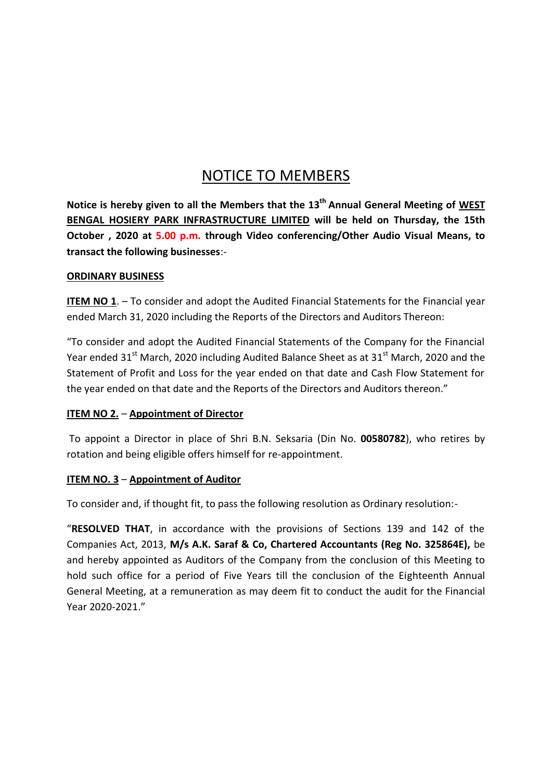# NOTICE TO MEMBERS

**Notice is hereby given to all the Members that the 13 th Annual General Meeting of WEST BENGAL HOSIERY PARK INFRASTRUCTURE LIMITED will be held on Thursday, the 15th October** , 2020 at 5.00 p.m. through Video conferencing/Other Audio Visual Means, to **transact the following businesses**:-

### **ORDINARY BUSINESS**

**ITEM NO 1**. – To consider and adopt the Audited Financial Statements for the Financial year ended March 31, 2020 including the Reports of the Directors and Auditors Thereon:

"To consider and adopt the Audited Financial Statements of the Company for the Financial Year ended 31<sup>st</sup> March, 2020 including Audited Balance Sheet as at 31<sup>st</sup> March, 2020 and the Statement of Profit and Loss for the year ended on that date and Cash Flow Statement for the year ended on that date and the Reports of the Directors and Auditors thereon."

# **ITEM NO 2.** – **Appointment of Director**

To appoint a Director in place of Shri B.N. Seksaria (Din No. **00580782**), who retires by rotation and being eligible offers himself for re-appointment.

# **ITEM NO. 3** – **Appointment of Auditor**

To consider and, if thought fit, to pass the following resolution as Ordinary resolution:-

"**RESOLVED THAT**, in accordance with the provisions of Sections 139 and 142 of the Companies Act, 2013, **M/s A.K. Saraf & Co, Chartered Accountants (Reg No. 325864E),** be and hereby appointed as Auditors of the Company from the conclusion of this Meeting to hold such office for a period of Five Years till the conclusion of the Eighteenth Annual General Meeting, at a remuneration as may deem fit to conduct the audit for the Financial Year 2020-2021."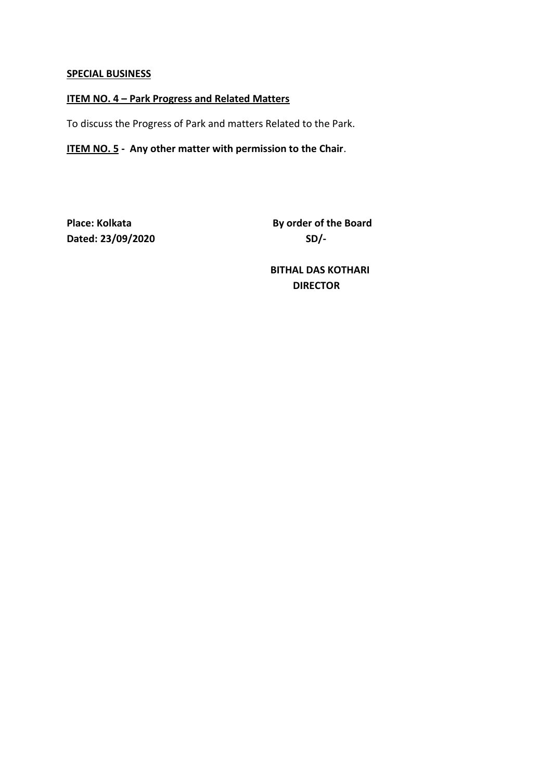#### **SPECIAL BUSINESS**

# **ITEM NO. 4 – Park Progress and Related Matters**

To discuss the Progress of Park and matters Related to the Park.

# **ITEM NO. 5 - Any other matter with permission to the Chair**.

**Dated: 23/09/2020 SD/-**

**Place: Kolkata By order of the Board** 

**BITHAL DAS KOTHARI DIRECTOR**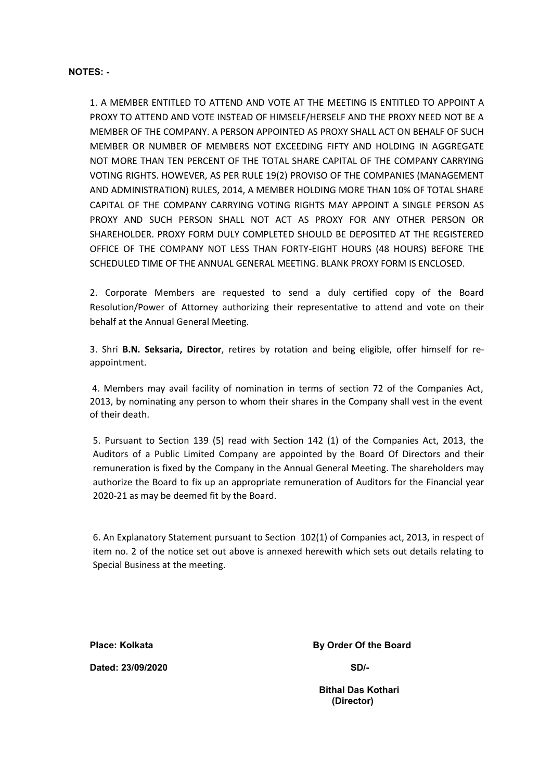#### **NOTES: -**

1. A MEMBER ENTITLED TO ATTEND AND VOTE AT THE MEETING IS ENTITLED TO APPOINT A PROXY TO ATTEND AND VOTE INSTEAD OF HIMSELF/HERSELF AND THE PROXY NEED NOT BE A MEMBER OF THE COMPANY. A PERSON APPOINTED AS PROXY SHALL ACT ON BEHALF OF SUCH MEMBER OR NUMBER OF MEMBERS NOT EXCEEDING FIFTY AND HOLDING IN AGGREGATE NOT MORE THAN TEN PERCENT OF THE TOTAL SHARE CAPITAL OF THE COMPANY CARRYING VOTING RIGHTS. HOWEVER, AS PER RULE 19(2) PROVISO OF THE COMPANIES (MANAGEMENT AND ADMINISTRATION) RULES, 2014, A MEMBER HOLDING MORE THAN 10% OF TOTAL SHARE CAPITAL OF THE COMPANY CARRYING VOTING RIGHTS MAY APPOINT A SINGLE PERSON AS PROXY AND SUCH PERSON SHALL NOT ACT AS PROXY FOR ANY OTHER PERSON OR SHAREHOLDER. PROXY FORM DULY COMPLETED SHOULD BE DEPOSITED AT THE REGISTERED OFFICE OF THE COMPANY NOT LESS THAN FORTY-EIGHT HOURS (48 HOURS) BEFORE THE SCHEDULED TIME OF THE ANNUAL GENERAL MEETING. BLANK PROXY FORM IS ENCLOSED.

2. Corporate Members are requested to send a duly certified copy of the Board Resolution/Power of Attorney authorizing their representative to attend and vote on their behalf at the Annual General Meeting.

3. Shri **B.N. Seksaria, Director**, retires by rotation and being eligible, offer himself for re appointment.

4. Members may avail facility of nomination in terms of section 72 of the Companies Act, 2013, by nominating any person to whom their shares in the Company shall vest in the event of their death.

5. Pursuant to Section 139 (5) read with Section 142 (1) of the Companies Act, 2013, the Auditors of a Public Limited Company are appointed by the Board Of Directors and their remuneration is fixed by the Company in the Annual General Meeting. The shareholders may authorize the Board to fix up an appropriate remuneration of Auditors for the Financial year 2020-21 as may be deemed fit by the Board.

6. An Explanatory Statement pursuant to Section 102(1) of Companies act, 2013, in respect of item no. 2 of the notice set out above is annexed herewith which sets out details relating to Special Business at the meeting.

**Dated: 23/09/2020 SD/-**

**Place: Kolkata By Order Of the Board** 

**Bithal Das Kothari (Director)**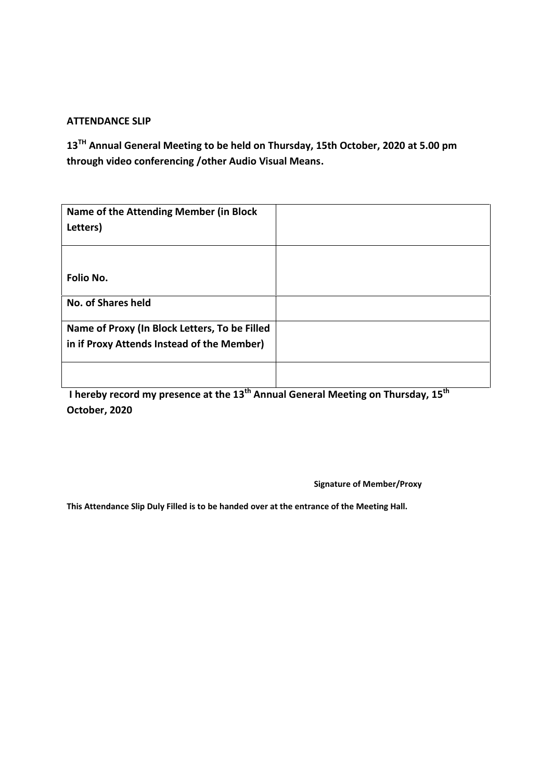### **ATTENDANCE SLIP**

**13 TH Annual General Meeting to be held on Thursday, 15th October, 2020 at 5.00 pm through video conferencing /other Audio Visual Means.**

| Name of the Attending Member (in Block<br>Letters)                                          |  |
|---------------------------------------------------------------------------------------------|--|
| Folio No.                                                                                   |  |
| <b>No. of Shares held</b>                                                                   |  |
| Name of Proxy (In Block Letters, To be Filled<br>in if Proxy Attends Instead of the Member) |  |
|                                                                                             |  |

**I hereby record my presence at the 13 th Annual General Meeting on Thursday, 15th October, 2020**

**Signature of Member/Proxy**

**This Attendance Slip Duly Filled is to be handed over at the entrance of the Meeting Hall.**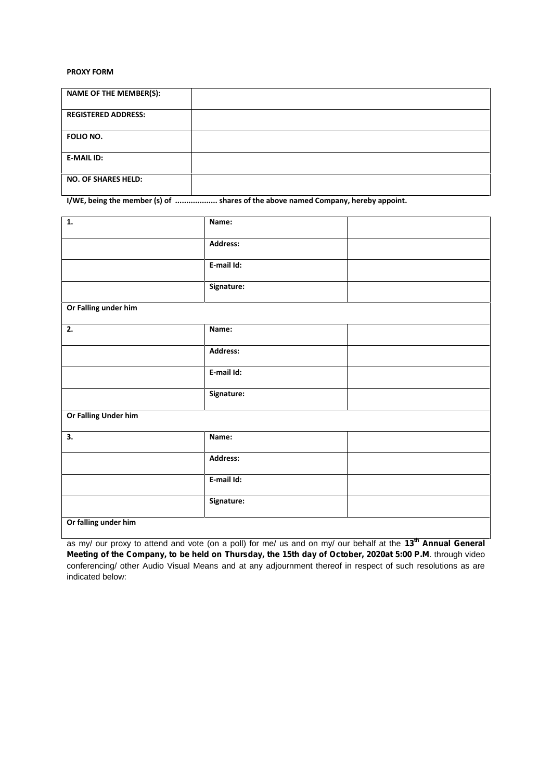#### **PROXY FORM**

| <b>NAME OF THE MEMBER(S):</b> |  |
|-------------------------------|--|
| <b>REGISTERED ADDRESS:</b>    |  |
| FOLIO NO.                     |  |
| <b>E-MAIL ID:</b>             |  |
| <b>NO. OF SHARES HELD:</b>    |  |

**I/WE, being the member (s) of ................... shares of the above named Company, hereby appoint.**

| 1.                   | Name:           |  |  |
|----------------------|-----------------|--|--|
|                      | <b>Address:</b> |  |  |
|                      | E-mail Id:      |  |  |
|                      | Signature:      |  |  |
| Or Falling under him |                 |  |  |
| 2.                   | Name:           |  |  |
|                      | <b>Address:</b> |  |  |
|                      | E-mail Id:      |  |  |
|                      | Signature:      |  |  |
| Or Falling Under him |                 |  |  |
| 3.                   | Name:           |  |  |
|                      | <b>Address:</b> |  |  |
|                      | E-mail Id:      |  |  |
|                      | Signature:      |  |  |
| Or falling under him |                 |  |  |

as my/ our proxy to attend and vote (on a poll) for me/ us and on my/ our behalf at the **13th Annual General Meeting of the Company, to be held on Thursday, the 15th day of October, 2020at 5:00 P.M**. through video conferencing/ other Audio Visual Means and at any adjournment thereof in respect of such resolutions as are indicated below: